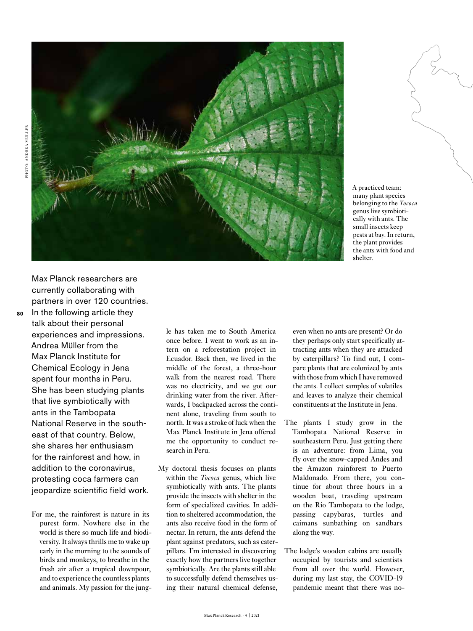

**80**

A practiced team: many plant species belonging to the *Tococa* genus live symbiotically with ants. The small insects keep pests at bay. In return, the plant provides the ants with food and shelter.

Max Planck researchers are currently collaborating with partners in over 120 countries.

- In the following article they talk about their personal experiences and impressions. Andrea Müller from the Max Planck Institute for Chemical Ecology in Jena spent four months in Peru. She has been studying plants that live symbiotically with ants in the Tambopata National Reserve in the southeast of that country. Below, she shares her enthusiasm for the rainforest and how, in addition to the coronavirus, protesting coca farmers can jeopardize scientific field work.
- For me, the rainforest is nature in its purest form. Nowhere else in the world is there so much life and biodiversity. It always thrills me to wake up early in the morning to the sounds of birds and monkeys, to breathe in the fresh air after a tropical downpour, and to experience the countless plants and animals. My passion for the jung-

le has taken me to South America once before. I went to work as an intern on a reforestation project in Ecuador. Back then, we lived in the middle of the forest, a three-hour walk from the nearest road. There was no electricity, and we got our drinking water from the river. Afterwards, I backpacked across the continent alone, traveling from south to north. It was a stroke of luck when the Max Planck Institute in Jena offered me the opportunity to conduct research in Peru.

My doctoral thesis focuses on plants within the *Tococa* genus, which live symbiotically with ants. The plants provide the insects with shelter in the form of specialized cavities. In addition to sheltered accommodation, the ants also receive food in the form of nectar. In return, the ants defend the plant against predators, such as caterpillars. I'm interested in discovering exactly how the partners live together symbiotically. Are the plants still able to successfully defend themselves using their natural chemical defense, even when no ants are present? Or do they perhaps only start specifically attracting ants when they are attacked by caterpillars? To find out, I compare plants that are colonized by ants with those from which I have removed the ants. I collect samples of volatiles and leaves to analyze their chemical constituents at the Institute in Jena.

- The plants I study grow in the Tambopata National Reserve in southeastern Peru. Just getting there is an adventure: from Lima, you fly over the snow-capped Andes and the Amazon rainforest to Puerto Maldonado. From there, you continue for about three hours in a wooden boat, traveling upstream on the Río Tambopata to the lodge, passing capybaras, turtles and caimans sunbathing on sandbars along the way.
- The lodge's wooden cabins are usually occupied by tourists and scientists from all over the world. However, during my last stay, the COVID-19 pandemic meant that there was no-